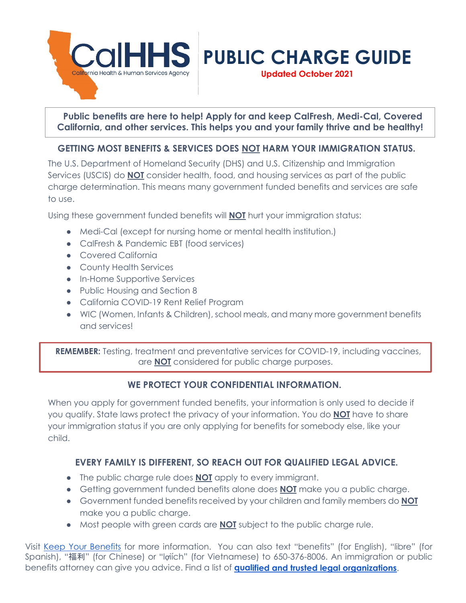

**Public benefits are here to help! Apply for and keep CalFresh, Medi-Cal, Covered California, and other services. This helps you and your family thrive and be healthy!** 

**Updated October 2021**

# **GETTING MOST BENEFITS & SERVICES DOES NOT HARM YOUR IMMIGRATION STATUS.**

The U.S. Department of Homeland Security (DHS) and U.S. Citizenship and Immigration Services (USCIS) do **NOT** consider health, food, and housing services as part of the public charge determination. This means many government funded benefits and services are safe to use.

Using these government funded benefits will **NOT** hurt your immigration status:

- Medi-Cal (except for nursing home or mental health institution.)
- CalFresh & Pandemic EBT (food services)
- Covered California
- County Health Services
- In-Home Supportive Services
- Public Housing and Section 8
- California COVID-19 Rent Relief Program
- WIC (Women, Infants & Children), school meals, and many more government benefits and services!

**REMEMBER:** Testing, treatment and preventative services for COVID-19, including vaccines, are **NOT** considered for public charge purposes.

### **WE PROTECT YOUR CONFIDENTIAL INFORMATION.**

When you apply for government funded benefits, your information is only used to decide if you qualify. State laws protect the privacy of your information. You do **NOT** have to share your immigration status if you are only applying for benefits for somebody else, like your child.

# **EVERY FAMILY IS DIFFERENT, SO REACH OUT FOR QUALIFIED LEGAL ADVICE.**

- The public charge rule does **NOT** apply to every immigrant.
- Getting government funded benefits alone does **NOT** make you a public charge.
- Government funded benefits received by your children and family members do **NOT** make you a public charge.
- Most people with green cards are **NOT** subject to the public charge rule.

Visit [Keep Your Benefits](https://keepyourbenefits.org/) for more information. You can also text "benefits" (for English), "libre" (for Spanish), "福利" (for Chinese) or "lợiích" (for Vietnamese) to 650-376-8006. An immigration or public benefits attorney can give you advice. Find a list of **[qualified and trusted legal](https://www.cdss.ca.gov/benefits-services/more-services/immigration-services/immigration-services-contractors/public-charge-contact-list) [organizations](https://www.cdss.ca.gov/benefits-services/more-services/immigration-services/immigration-services-contractors/public-charge-contact-list)**.